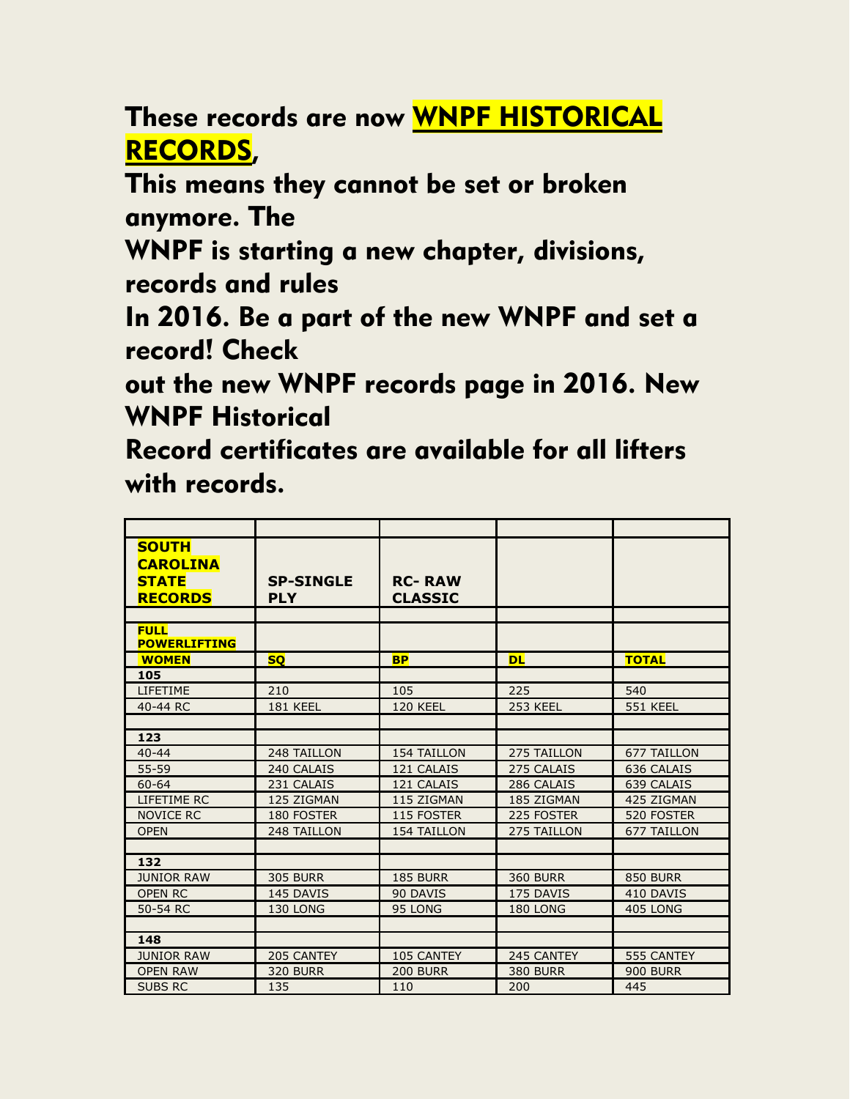These records are now WNPF HISTORICAL RECORDS,

This means they cannot be set or broken anymore. The

WNPF is starting a new chapter, divisions, records and rules

In 2016. Be a part of the new WNPF and set a record! Check

out the new WNPF records page in 2016. New WNPF Historical

Record certificates are available for all lifters with records.

| <b>SOUTH</b><br><b>CAROLINA</b><br><b>STATE</b><br><b>RECORDS</b> | <b>SP-SINGLE</b><br><b>PLY</b> | <b>RC-RAW</b><br><b>CLASSIC</b> |                 |                    |
|-------------------------------------------------------------------|--------------------------------|---------------------------------|-----------------|--------------------|
|                                                                   |                                |                                 |                 |                    |
| <b>FULL</b><br><b>POWERLIFTING</b>                                |                                |                                 |                 |                    |
| <b>WOMEN</b>                                                      | <b>SQ</b>                      | <b>BP</b>                       | <b>DL</b>       | <b>TOTAL</b>       |
| 105                                                               |                                |                                 |                 |                    |
| <b>LIFETIME</b>                                                   | 210                            | 105                             | 225             | 540                |
| 40-44 RC                                                          | 181 KEEL                       | <b>120 KEEL</b>                 | <b>253 KEEL</b> | <b>551 KEEL</b>    |
|                                                                   |                                |                                 |                 |                    |
| 123                                                               |                                |                                 |                 |                    |
| $40 - 44$                                                         | 248 TAILLON                    | <b>154 TAILLON</b>              | 275 TAILLON     | <b>677 TAILLON</b> |
| 55-59                                                             | 240 CALAIS                     | 121 CALAIS                      | 275 CALAIS      | 636 CALAIS         |
| $60 - 64$                                                         | 231 CALAIS                     | 121 CALAIS                      | 286 CALAIS      | 639 CALAIS         |
| LIFETIME RC                                                       | 125 ZIGMAN                     | 115 ZIGMAN                      | 185 ZIGMAN      | 425 ZIGMAN         |
| <b>NOVICE RC</b>                                                  | 180 FOSTER                     | 115 FOSTER                      | 225 FOSTER      | 520 FOSTER         |
| <b>OPEN</b>                                                       | 248 TAILLON                    | <b>154 TAILLON</b>              | 275 TAILLON     | <b>677 TAILLON</b> |
|                                                                   |                                |                                 |                 |                    |
| 132                                                               |                                |                                 |                 |                    |
| <b>JUNIOR RAW</b>                                                 | <b>305 BURR</b>                | <b>185 BURR</b>                 | <b>360 BURR</b> | <b>850 BURR</b>    |
| <b>OPEN RC</b>                                                    | 145 DAVIS                      | 90 DAVIS                        | 175 DAVIS       | 410 DAVIS          |
| 50-54 RC                                                          | 130 LONG                       | 95 LONG                         | 180 LONG        | 405 LONG           |
|                                                                   |                                |                                 |                 |                    |
| 148                                                               |                                |                                 |                 |                    |
| <b>JUNIOR RAW</b>                                                 | 205 CANTEY                     | 105 CANTEY                      | 245 CANTEY      | 555 CANTEY         |
| <b>OPEN RAW</b>                                                   | <b>320 BURR</b>                | <b>200 BURR</b>                 | <b>380 BURR</b> | <b>900 BURR</b>    |
| <b>SUBS RC</b>                                                    | 135                            | 110                             | 200             | 445                |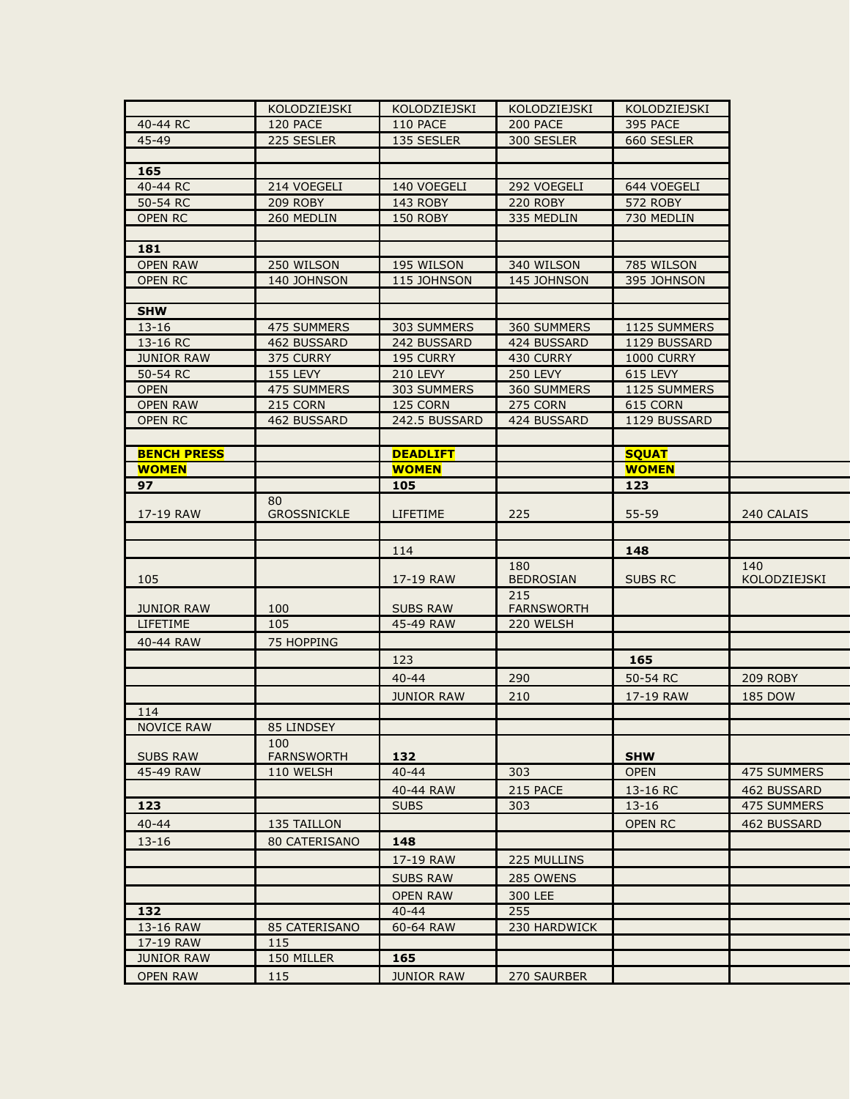|                                      | KOLODZIEJSKI             | KOLODZIEJSKI             | KOLODZIEJSKI             | KOLODZIEJSKI      |                |
|--------------------------------------|--------------------------|--------------------------|--------------------------|-------------------|----------------|
| 40-44 RC                             | 120 PACE                 | <b>110 PACE</b>          | 200 PACE                 | 395 PACE          |                |
| 45-49                                | 225 SESLER               | 135 SESLER               | 300 SESLER               | 660 SESLER        |                |
|                                      |                          |                          |                          |                   |                |
| 165                                  |                          |                          |                          |                   |                |
| 40-44 RC                             | 214 VOEGELI              | 140 VOEGELI              | 292 VOEGELI              | 644 VOEGELI       |                |
| 50-54 RC                             | <b>209 ROBY</b>          | 143 ROBY                 | <b>220 ROBY</b>          | <b>572 ROBY</b>   |                |
| <b>OPEN RC</b>                       | 260 MEDLIN               | <b>150 ROBY</b>          | 335 MEDLIN               | 730 MEDLIN        |                |
|                                      |                          |                          |                          |                   |                |
| 181                                  |                          |                          |                          |                   |                |
| <b>OPEN RAW</b>                      | 250 WILSON               | 195 WILSON               | 340 WILSON               | 785 WILSON        |                |
| <b>OPEN RC</b>                       | 140 JOHNSON              | 115 JOHNSON              | 145 JOHNSON              | 395 JOHNSON       |                |
| <b>SHW</b>                           |                          |                          |                          |                   |                |
| $13 - 16$                            | <b>475 SUMMERS</b>       | 303 SUMMERS              | 360 SUMMERS              | 1125 SUMMERS      |                |
| 13-16 RC                             | 462 BUSSARD              | 242 BUSSARD              | 424 BUSSARD              | 1129 BUSSARD      |                |
| <b>JUNIOR RAW</b>                    | 375 CURRY                | 195 CURRY                | 430 CURRY                | <b>1000 CURRY</b> |                |
| 50-54 RC                             | <b>155 LEVY</b>          | <b>210 LEVY</b>          | <b>250 LEVY</b>          | 615 LEVY          |                |
| <b>OPEN</b>                          | 475 SUMMERS              | 303 SUMMERS              | 360 SUMMERS              | 1125 SUMMERS      |                |
| <b>OPEN RAW</b>                      | 215 CORN                 | 125 CORN                 | 275 CORN                 | 615 CORN          |                |
| <b>OPEN RC</b>                       | 462 BUSSARD              | 242.5 BUSSARD            | 424 BUSSARD              | 1129 BUSSARD      |                |
|                                      |                          |                          |                          |                   |                |
| <b>BENCH PRESS</b>                   |                          | <b>DEADLIFT</b>          |                          | <b>SQUAT</b>      |                |
| <b>WOMEN</b>                         |                          | <b>WOMEN</b>             |                          | <b>WOMEN</b>      |                |
| 97                                   |                          | 105                      |                          | 123               |                |
|                                      | 80                       |                          |                          |                   |                |
| 17-19 RAW                            | <b>GROSSNICKLE</b>       | LIFETIME                 | 225                      | 55-59             | 240 CALAIS     |
|                                      |                          |                          |                          |                   |                |
|                                      |                          | 114                      |                          | 148               |                |
|                                      |                          |                          | 180                      |                   | 140            |
| 105                                  |                          | 17-19 RAW                | <b>BEDROSIAN</b>         | <b>SUBS RC</b>    | KOLODZIEJSKI   |
|                                      | 100                      | <b>SUBS RAW</b>          | 215<br><b>FARNSWORTH</b> |                   |                |
| <b>JUNIOR RAW</b><br>LIFETIME        | 105                      | 45-49 RAW                | 220 WELSH                |                   |                |
| 40-44 RAW                            | 75 HOPPING               |                          |                          |                   |                |
|                                      |                          |                          |                          |                   |                |
|                                      |                          | 123                      |                          | 165               |                |
|                                      |                          | $40 - 44$                | 290                      | 50-54 RC          | 209 ROBY       |
|                                      |                          | <b>JUNIOR RAW</b>        | 210                      | 17-19 RAW         | <b>185 DOW</b> |
| 114                                  |                          |                          |                          |                   |                |
| <b>NOVICE RAW</b>                    | 85 LINDSEY               |                          |                          |                   |                |
| <b>SUBS RAW</b>                      | 100<br><b>FARNSWORTH</b> | 132                      |                          | <b>SHW</b>        |                |
| 45-49 RAW                            | 110 WELSH                | $40 - 44$                | 303                      | <b>OPEN</b>       | 475 SUMMERS    |
|                                      |                          | 40-44 RAW                | 215 PACE                 | 13-16 RC          | 462 BUSSARD    |
| 123                                  |                          | <b>SUBS</b>              | 303                      | $13 - 16$         | 475 SUMMERS    |
| $40 - 44$                            |                          |                          |                          |                   |                |
|                                      | 135 TAILLON              |                          |                          | <b>OPEN RC</b>    | 462 BUSSARD    |
| $13 - 16$                            | <b>80 CATERISANO</b>     | 148                      |                          |                   |                |
|                                      |                          | 17-19 RAW                | 225 MULLINS              |                   |                |
|                                      |                          | <b>SUBS RAW</b>          | 285 OWENS                |                   |                |
|                                      |                          | <b>OPEN RAW</b>          | 300 LEE                  |                   |                |
|                                      |                          |                          |                          |                   |                |
| 132                                  |                          | $40 - 44$                | 255                      |                   |                |
| 13-16 RAW                            | 85 CATERISANO            | 60-64 RAW                | 230 HARDWICK             |                   |                |
| 17-19 RAW                            | 115                      |                          |                          |                   |                |
| <b>JUNIOR RAW</b><br><b>OPEN RAW</b> | 150 MILLER<br>115        | 165<br><b>JUNIOR RAW</b> |                          |                   |                |

ti<br>1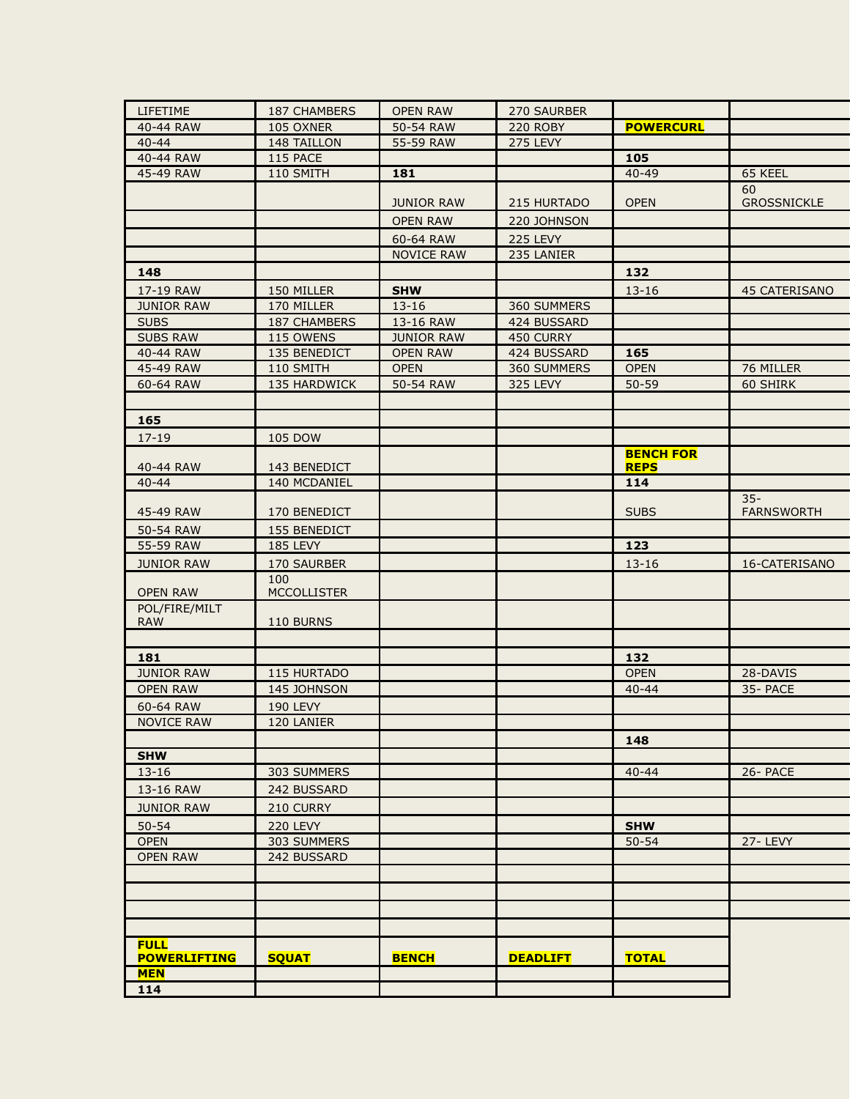| LIFETIME            | 187 CHAMBERS        | <b>OPEN RAW</b>   | 270 SAURBER     |                  |                    |
|---------------------|---------------------|-------------------|-----------------|------------------|--------------------|
| 40-44 RAW           | 105 OXNER           | 50-54 RAW         | <b>220 ROBY</b> | <b>POWERCURL</b> |                    |
| $40 - 44$           | 148 TAILLON         | 55-59 RAW         | 275 LEVY        |                  |                    |
| 40-44 RAW           | 115 PACE            |                   |                 | 105              |                    |
| 45-49 RAW           | 110 SMITH           | 181               |                 | $40 - 49$        | 65 KEEL            |
|                     |                     |                   |                 |                  | 60                 |
|                     |                     | <b>JUNIOR RAW</b> | 215 HURTADO     | <b>OPEN</b>      | <b>GROSSNICKLE</b> |
|                     |                     | <b>OPEN RAW</b>   | 220 JOHNSON     |                  |                    |
|                     |                     | 60-64 RAW         | 225 LEVY        |                  |                    |
|                     |                     | <b>NOVICE RAW</b> | 235 LANIER      |                  |                    |
| 148                 |                     |                   |                 | 132              |                    |
| 17-19 RAW           | 150 MILLER          | <b>SHW</b>        |                 | $13 - 16$        | 45 CATERISANO      |
| <b>JUNIOR RAW</b>   | 170 MILLER          | $13 - 16$         | 360 SUMMERS     |                  |                    |
| <b>SUBS</b>         | <b>187 CHAMBERS</b> | 13-16 RAW         | 424 BUSSARD     |                  |                    |
| <b>SUBS RAW</b>     | 115 OWENS           | <b>JUNIOR RAW</b> | 450 CURRY       |                  |                    |
| 40-44 RAW           | 135 BENEDICT        | <b>OPEN RAW</b>   | 424 BUSSARD     | 165              |                    |
| 45-49 RAW           | 110 SMITH           | <b>OPEN</b>       | 360 SUMMERS     | <b>OPEN</b>      | 76 MILLER          |
| 60-64 RAW           | 135 HARDWICK        | 50-54 RAW         | 325 LEVY        | $50 - 59$        | 60 SHIRK           |
|                     |                     |                   |                 |                  |                    |
| 165                 |                     |                   |                 |                  |                    |
| $17 - 19$           | 105 DOW             |                   |                 |                  |                    |
|                     |                     |                   |                 | <b>BENCH FOR</b> |                    |
| 40-44 RAW           | 143 BENEDICT        |                   |                 | <b>REPS</b>      |                    |
| $40 - 44$           | 140 MCDANIEL        |                   |                 | 114              |                    |
|                     |                     |                   |                 |                  | $35 -$             |
| 45-49 RAW           | 170 BENEDICT        |                   |                 | <b>SUBS</b>      | <b>FARNSWORTH</b>  |
| 50-54 RAW           | 155 BENEDICT        |                   |                 |                  |                    |
| 55-59 RAW           | <b>185 LEVY</b>     |                   |                 | 123              |                    |
| <b>JUNIOR RAW</b>   | 170 SAURBER         |                   |                 | $13 - 16$        | 16-CATERISANO      |
|                     | 100                 |                   |                 |                  |                    |
| <b>OPEN RAW</b>     | <b>MCCOLLISTER</b>  |                   |                 |                  |                    |
| POL/FIRE/MILT       |                     |                   |                 |                  |                    |
| <b>RAW</b>          | 110 BURNS           |                   |                 |                  |                    |
|                     |                     |                   |                 |                  |                    |
| 181                 |                     |                   |                 | 132              |                    |
| <b>JUNIOR RAW</b>   | 115 HURTADO         |                   |                 | <b>OPEN</b>      | 28-DAVIS           |
| <b>OPEN RAW</b>     | 145 JOHNSON         |                   |                 | $40 - 44$        | 35- PACE           |
| 60-64 RAW           | 190 LEVY            |                   |                 |                  |                    |
| <b>NOVICE RAW</b>   | 120 LANIER          |                   |                 |                  |                    |
|                     |                     |                   |                 | 148              |                    |
| <b>SHW</b>          |                     |                   |                 |                  |                    |
| $13 - 16$           | 303 SUMMERS         |                   |                 | $40 - 44$        | 26- PACE           |
| 13-16 RAW           | 242 BUSSARD         |                   |                 |                  |                    |
| <b>JUNIOR RAW</b>   | 210 CURRY           |                   |                 |                  |                    |
| $50 - 54$           | <b>220 LEVY</b>     |                   |                 | <b>SHW</b>       |                    |
| <b>OPEN</b>         | 303 SUMMERS         |                   |                 | $50 - 54$        | 27-LEVY            |
| <b>OPEN RAW</b>     | 242 BUSSARD         |                   |                 |                  |                    |
|                     |                     |                   |                 |                  |                    |
|                     |                     |                   |                 |                  |                    |
|                     |                     |                   |                 |                  |                    |
|                     |                     |                   |                 |                  |                    |
| <b>FULL</b>         |                     |                   |                 |                  |                    |
| <b>POWERLIFTING</b> | <b>SQUAT</b>        | <b>BENCH</b>      | <b>DEADLIFT</b> | <b>TOTAL</b>     |                    |
| <b>MEN</b>          |                     |                   |                 |                  |                    |
| 114                 |                     |                   |                 |                  |                    |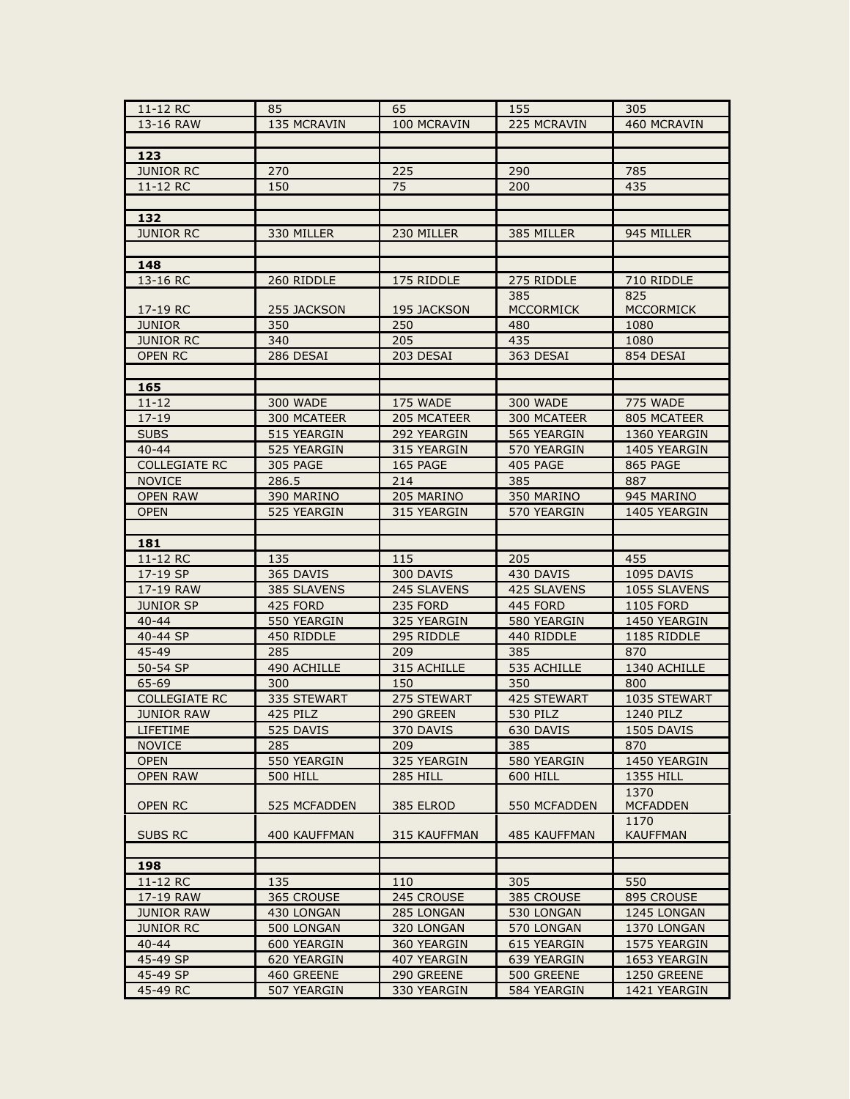| 11-12 RC             | 85              | 65<br>155       |                           |                         |
|----------------------|-----------------|-----------------|---------------------------|-------------------------|
| 13-16 RAW            | 135 MCRAVIN     | 100 MCRAVIN     | 225 MCRAVIN               | 460 MCRAVIN             |
|                      |                 |                 |                           |                         |
| 123                  |                 |                 |                           |                         |
| <b>JUNIOR RC</b>     | 270             | 225             | 290                       | 785                     |
| 11-12 RC             | 150             | 75              | 200                       | 435                     |
|                      |                 |                 |                           |                         |
| 132                  |                 |                 |                           |                         |
| <b>JUNIOR RC</b>     | 330 MILLER      | 230 MILLER      | 385 MILLER                | 945 MILLER              |
|                      |                 |                 |                           |                         |
| 148                  |                 |                 |                           |                         |
| 13-16 RC             | 260 RIDDLE      | 175 RIDDLE      | 275 RIDDLE                | 710 RIDDLE              |
|                      |                 |                 | 385                       | 825                     |
| 17-19 RC             | 255 JACKSON     | 195 JACKSON     | <b>MCCORMICK</b>          | <b>MCCORMICK</b>        |
| <b>JUNIOR</b>        | 350             | 250             | 480                       | 1080                    |
| <b>JUNIOR RC</b>     | 340             | 205             | 435                       | 1080                    |
| <b>OPEN RC</b>       | 286 DESAI       | 203 DESAI       | 363 DESAI                 | 854 DESAI               |
|                      |                 |                 |                           |                         |
| 165                  |                 |                 |                           |                         |
| $11 - 12$            | 300 WADE        | 175 WADE        | <b>300 WADE</b>           | <b>775 WADE</b>         |
| $17 - 19$            | 300 MCATEER     | 205 MCATEER     | 300 MCATEER               | 805 MCATEER             |
| <b>SUBS</b>          | 515 YEARGIN     | 292 YEARGIN     | 565 YEARGIN               | 1360 YEARGIN            |
| $40 - 44$            | 525 YEARGIN     | 315 YEARGIN     | 570 YEARGIN               | 1405 YEARGIN            |
| <b>COLLEGIATE RC</b> | <b>305 PAGE</b> | 165 PAGE        | 405 PAGE                  | 865 PAGE                |
| <b>NOVICE</b>        | 286.5           | 214             | 385                       | 887                     |
| <b>OPEN RAW</b>      | 390 MARINO      | 205 MARINO      | 350 MARINO                | 945 MARINO              |
| <b>OPEN</b>          | 525 YEARGIN     | 315 YEARGIN     | 570 YEARGIN               | 1405 YEARGIN            |
|                      |                 |                 |                           |                         |
| 181                  |                 |                 |                           |                         |
|                      |                 |                 |                           |                         |
| 11-12 RC             | 135             | 115             | 205                       | 455                     |
| 17-19 SP             | 365 DAVIS       | 300 DAVIS       | 430 DAVIS                 | 1095 DAVIS              |
| 17-19 RAW            | 385 SLAVENS     | 245 SLAVENS     | 425 SLAVENS               | 1055 SLAVENS            |
| <b>JUNIOR SP</b>     | 425 FORD        | 235 FORD        | 445 FORD                  | <b>1105 FORD</b>        |
| $40 - 44$            | 550 YEARGIN     | 325 YEARGIN     | 580 YEARGIN               | 1450 YEARGIN            |
| 40-44 SP             | 450 RIDDLE      | 295 RIDDLE      | 440 RIDDLE                | 1185 RIDDLE             |
| 45-49                | 285             | 209             | 385                       | 870                     |
| 50-54 SP             | 490 ACHILLE     | 315 ACHILLE     | 535 ACHILLE               | 1340 ACHILLE            |
| 65-69                | 300             | 150             | 350                       | 800                     |
| <b>COLLEGIATE RC</b> | 335 STEWART     | 275 STEWART     | 425 STEWART               | 1035 STEWART            |
| <b>JUNIOR RAW</b>    | 425 PILZ        | 290 GREEN       | 530 PILZ                  | 1240 PILZ               |
| LIFETIME             | 525 DAVIS       | 370 DAVIS       | 630 DAVIS                 | 1505 DAVIS              |
| <b>NOVICE</b>        | 285             | 209             | 385                       | 870                     |
| <b>OPEN</b>          | 550 YEARGIN     | 325 YEARGIN     | 580 YEARGIN               | 1450 YEARGIN            |
| <b>OPEN RAW</b>      | <b>500 HILL</b> | <b>285 HILL</b> | 600 HILL                  | 1355 HILL               |
| <b>OPEN RC</b>       | 525 MCFADDEN    | 385 ELROD       | 550 MCFADDEN              | 1370<br><b>MCFADDEN</b> |
| <b>SUBS RC</b>       | 400 KAUFFMAN    | 315 KAUFFMAN    | 485 KAUFFMAN              | 1170<br><b>KAUFFMAN</b> |
|                      |                 |                 |                           |                         |
| 198                  |                 |                 |                           |                         |
| 11-12 RC             | 135             | 110             | 305                       | 550                     |
| 17-19 RAW            | 365 CROUSE      | 245 CROUSE      | 385 CROUSE                | 895 CROUSE              |
| <b>JUNIOR RAW</b>    | 430 LONGAN      | 285 LONGAN      | 530 LONGAN                | 1245 LONGAN             |
| <b>JUNIOR RC</b>     | 500 LONGAN      | 320 LONGAN      | 570 LONGAN                | 1370 LONGAN             |
| $40 - 44$            | 600 YEARGIN     | 360 YEARGIN     | 615 YEARGIN               | 1575 YEARGIN            |
| 45-49 SP             | 620 YEARGIN     | 407 YEARGIN     | 639 YEARGIN               | 1653 YEARGIN            |
| 45-49 SP             | 460 GREENE      | 290 GREENE      | 500 GREENE<br>584 YEARGIN | 1250 GREENE             |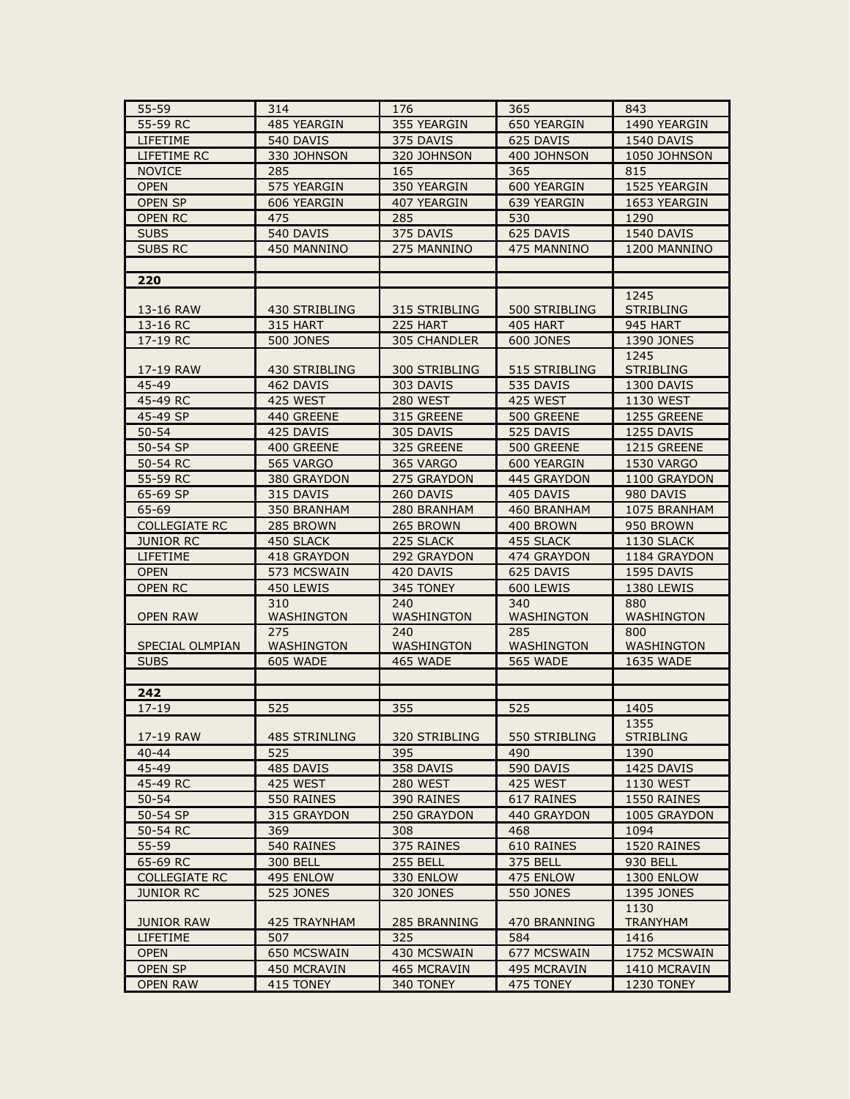| 55-59                  | 314                  | 176<br>365                 |                  | 843                     |
|------------------------|----------------------|----------------------------|------------------|-------------------------|
| 55-59 RC               | 485 YEARGIN          | 355 YEARGIN<br>650 YEARGIN |                  | 1490 YEARGIN            |
| LIFETIME               | 540 DAVIS            | 375 DAVIS                  | 625 DAVIS        | 1540 DAVIS              |
| LIFETIME RC            | 330 JOHNSON          | 320 JOHNSON                | 400 JOHNSON      | 1050 JOHNSON            |
| <b>NOVICE</b>          | 285                  | 165                        | 365              | 815                     |
| <b>OPEN</b>            | 575 YEARGIN          | 350 YEARGIN                | 600 YEARGIN      | 1525 YEARGIN            |
| <b>OPEN SP</b>         | 606 YEARGIN          | 407 YEARGIN                | 639 YEARGIN      | 1653 YEARGIN            |
| <b>OPEN RC</b>         | 475                  | 285                        | 530              | 1290                    |
| <b>SUBS</b>            | 540 DAVIS            | 375 DAVIS                  | 625 DAVIS        | 1540 DAVIS              |
| <b>SUBS RC</b>         | 450 MANNINO          | 275 MANNINO                | 475 MANNINO      | 1200 MANNINO            |
|                        |                      |                            |                  |                         |
| 220                    |                      |                            |                  |                         |
|                        |                      |                            |                  | 1245                    |
| 13-16 RAW              | 430 STRIBLING        | 315 STRIBLING              | 500 STRIBLING    | <b>STRIBLING</b>        |
| 13-16 RC               | 315 HART             | 225 HART                   | 405 HART         | 945 HART                |
| 17-19 RC               | <b>500 JONES</b>     | 305 CHANDLER               | <b>600 JONES</b> | 1390 JONES              |
|                        |                      |                            |                  | 1245                    |
| 17-19 RAW              | 430 STRIBLING        | 300 STRIBLING              | 515 STRIBLING    | <b>STRIBLING</b>        |
| 45-49                  | 462 DAVIS            | 303 DAVIS                  | 535 DAVIS        | 1300 DAVIS              |
| 45-49 RC               | 425 WEST             | 280 WEST                   | 425 WEST         | <b>1130 WEST</b>        |
| 45-49 SP               | 440 GREENE           | 315 GREENE                 | 500 GREENE       | 1255 GREENE             |
| $50 - 54$              | 425 DAVIS            | 305 DAVIS                  | 525 DAVIS        | 1255 DAVIS              |
| 50-54 SP               | 400 GREENE           | 325 GREENE                 | 500 GREENE       | 1215 GREENE             |
| 50-54 RC               | 565 VARGO            | 365 VARGO                  | 600 YEARGIN      | <b>1530 VARGO</b>       |
| 55-59 RC               | 380 GRAYDON          | 275 GRAYDON                | 445 GRAYDON      | 1100 GRAYDON            |
| 65-69 SP               | 315 DAVIS            | 260 DAVIS                  | 405 DAVIS        | 980 DAVIS               |
| 65-69                  | 350 BRANHAM          | 280 BRANHAM                | 460 BRANHAM      | 1075 BRANHAM            |
| <b>COLLEGIATE RC</b>   | 285 BROWN            | 265 BROWN                  | 400 BROWN        | 950 BROWN               |
| <b>JUNIOR RC</b>       | 450 SLACK            | 225 SLACK                  | 455 SLACK        | 1130 SLACK              |
| LIFETIME               | 418 GRAYDON          | 292 GRAYDON                | 474 GRAYDON      | 1184 GRAYDON            |
| <b>OPEN</b>            | 573 MCSWAIN          | 420 DAVIS                  | 625 DAVIS        | 1595 DAVIS              |
| <b>OPEN RC</b>         | 450 LEWIS            | 345 TONEY                  | 600 LEWIS        | 1380 LEWIS              |
|                        | 310                  | 240                        | 340              | 880                     |
| <b>OPEN RAW</b>        | WASHINGTON           | WASHINGTON                 | WASHINGTON       | WASHINGTON              |
|                        | 275                  | 240                        | 285              | 800                     |
| <b>SPECIAL OLMPIAN</b> | WASHINGTON           | WASHINGTON                 | WASHINGTON       | WASHINGTON              |
| <b>SUBS</b>            | 605 WADE             | 465 WADE                   | <b>565 WADE</b>  | 1635 WADE               |
|                        |                      |                            |                  |                         |
| 242                    |                      |                            |                  |                         |
| $17 - 19$              | 525                  | 355                        | 525              | 1405                    |
|                        |                      |                            |                  | 1355                    |
| 17-19 RAW              | <b>485 STRINLING</b> | 320 STRIBLING              | 550 STRIBLING    | <b>STRIBLING</b>        |
| $40 - 44$              | 525                  | 395                        | 490              | 1390                    |
| 45-49                  | 485 DAVIS            | 358 DAVIS                  | 590 DAVIS        | 1425 DAVIS              |
| 45-49 RC               | 425 WEST             | <b>280 WEST</b>            | 425 WEST         | 1130 WEST               |
| $50 - 54$              | 550 RAINES           | 390 RAINES                 | 617 RAINES       | 1550 RAINES             |
| 50-54 SP               | 315 GRAYDON          | 250 GRAYDON                | 440 GRAYDON      | 1005 GRAYDON            |
| 50-54 RC               | 369                  | 308                        | 468              | 1094                    |
| 55-59                  | 540 RAINES           | 375 RAINES                 | 610 RAINES       | 1520 RAINES             |
| 65-69 RC               | <b>300 BELL</b>      | <b>255 BELL</b>            | 375 BELL         | 930 BELL                |
| <b>COLLEGIATE RC</b>   | 495 ENLOW            | 330 ENLOW                  | 475 ENLOW        | <b>1300 ENLOW</b>       |
| <b>JUNIOR RC</b>       | <b>525 JONES</b>     | 320 JONES                  | <b>550 JONES</b> | 1395 JONES              |
| <b>JUNIOR RAW</b>      | <b>425 TRAYNHAM</b>  | 285 BRANNING               | 470 BRANNING     | 1130<br><b>TRANYHAM</b> |
| LIFETIME               | 507                  | 325                        | 584              | 1416                    |
| <b>OPEN</b>            | 650 MCSWAIN          | 430 MCSWAIN                | 677 MCSWAIN      | 1752 MCSWAIN            |
| <b>OPEN SP</b>         | 450 MCRAVIN          | 465 MCRAVIN                | 495 MCRAVIN      | 1410 MCRAVIN            |
| <b>OPEN RAW</b>        | 415 TONEY            | 340 TONEY                  | 475 TONEY        | 1230 TONEY              |
|                        |                      |                            |                  |                         |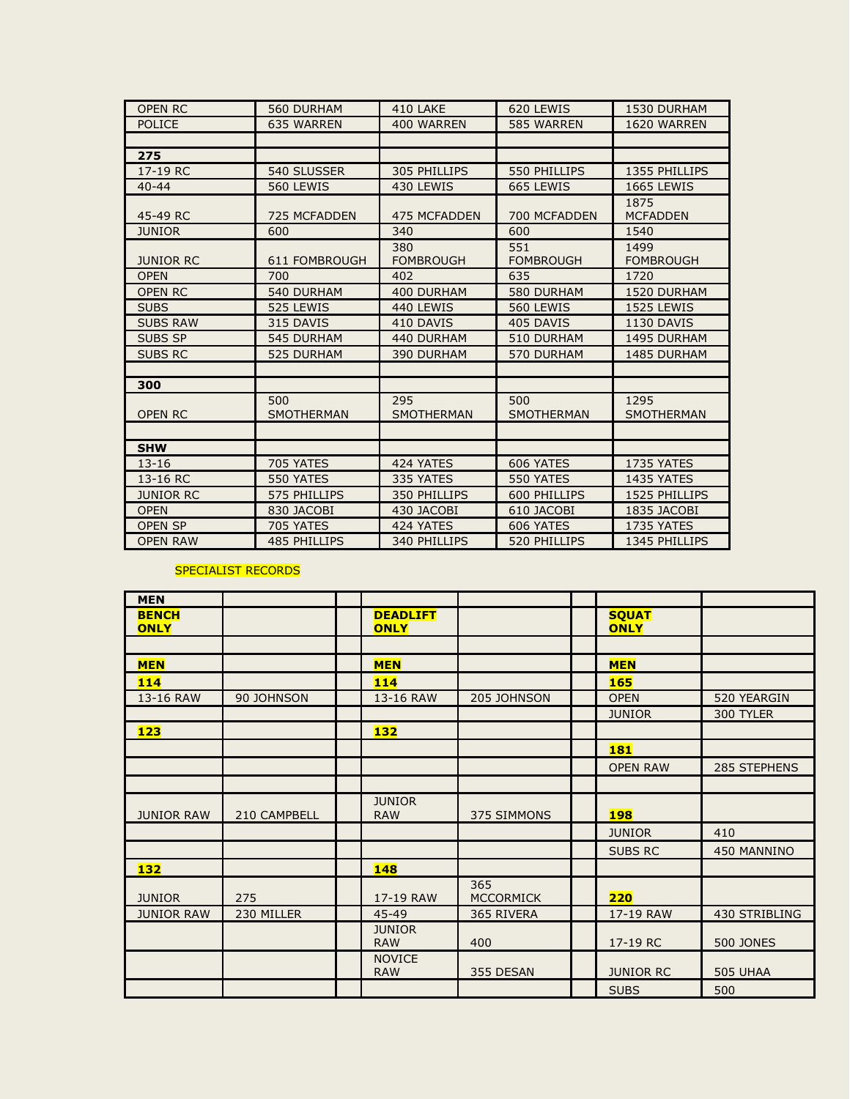| <b>OPEN RC</b>   | <b>560 DURHAM</b>        | 410 LAKE                 | 620 LEWIS                | 1530 DURHAM               |
|------------------|--------------------------|--------------------------|--------------------------|---------------------------|
| <b>POLICE</b>    | <b>635 WARREN</b>        | 400 WARREN               | 585 WARREN               | 1620 WARREN               |
|                  |                          |                          |                          |                           |
| 275              |                          |                          |                          |                           |
| 17-19 RC         | 540 SLUSSER              | 305 PHILLIPS             | 550 PHILLIPS             | 1355 PHILLIPS             |
| $40 - 44$        | 560 LEWIS                | 430 LEWIS                | 665 LEWIS                | <b>1665 LEWIS</b>         |
|                  |                          |                          |                          | 1875                      |
| 45-49 RC         | <b>725 MCFADDEN</b>      | <b>475 MCFADDEN</b>      | 700 MCFADDEN             | <b>MCFADDEN</b>           |
| <b>JUNIOR</b>    | 600                      | 340                      | 600                      | 1540                      |
| <b>JUNIOR RC</b> | 611 FOMBROUGH            | 380<br><b>FOMBROUGH</b>  | 551<br><b>FOMBROUGH</b>  | 1499<br><b>FOMBROUGH</b>  |
| <b>OPEN</b>      | 700                      | 402                      | 635                      | 1720                      |
| <b>OPEN RC</b>   | 540 DURHAM               | 400 DURHAM               | 580 DURHAM               | 1520 DURHAM               |
| <b>SUBS</b>      | 525 LEWIS                | 440 LEWIS                | 560 LEWIS                | 1525 LEWIS                |
| <b>SUBS RAW</b>  | 315 DAVIS                | 410 DAVIS                | 405 DAVIS                | 1130 DAVIS                |
| <b>SUBS SP</b>   | <b>545 DURHAM</b>        | 440 DURHAM               | 510 DURHAM               | <b>1495 DURHAM</b>        |
| <b>SUBS RC</b>   | <b>525 DURHAM</b>        | <b>390 DURHAM</b>        | 570 DURHAM               | 1485 DURHAM               |
|                  |                          |                          |                          |                           |
| 300              |                          |                          |                          |                           |
| <b>OPEN RC</b>   | 500<br><b>SMOTHERMAN</b> | 295<br><b>SMOTHERMAN</b> | 500<br><b>SMOTHERMAN</b> | 1295<br><b>SMOTHERMAN</b> |
|                  |                          |                          |                          |                           |
| <b>SHW</b>       |                          |                          |                          |                           |
| $13 - 16$        | 705 YATES                | 424 YATES                | 606 YATES                | 1735 YATES                |
| 13-16 RC         | 550 YATES                | 335 YATES                | 550 YATES                | <b>1435 YATES</b>         |
| <b>JUNIOR RC</b> | 575 PHILLIPS             | 350 PHILLIPS             | 600 PHILLIPS             | 1525 PHILLIPS             |
| <b>OPEN</b>      | 830 JACOBI               | 430 JACOBI               | 610 JACOBI               | 1835 JACOBI               |
| <b>OPEN SP</b>   | 705 YATES                | 424 YATES                | 606 YATES                | 1735 YATES                |
| <b>OPEN RAW</b>  | <b>485 PHILLIPS</b>      | 340 PHILLIPS             | 520 PHILLIPS             | 1345 PHILLIPS             |

## SPECIALIST RECORDS

| <b>MEN</b>                  |              |                                |                         |                             |                  |
|-----------------------------|--------------|--------------------------------|-------------------------|-----------------------------|------------------|
| <b>BENCH</b><br><b>ONLY</b> |              | <b>DEADLIFT</b><br><b>ONLY</b> |                         | <b>SQUAT</b><br><b>ONLY</b> |                  |
|                             |              |                                |                         |                             |                  |
| <b>MEN</b>                  |              | <b>MEN</b>                     |                         | <b>MEN</b>                  |                  |
| 114                         |              | 114                            |                         | <b>165</b>                  |                  |
| 13-16 RAW                   | 90 JOHNSON   | 13-16 RAW                      | 205 JOHNSON             | <b>OPEN</b>                 | 520 YEARGIN      |
|                             |              |                                |                         | <b>JUNIOR</b>               | 300 TYLER        |
| 123                         |              | 132                            |                         |                             |                  |
|                             |              |                                |                         | <b>181</b>                  |                  |
|                             |              |                                |                         | <b>OPEN RAW</b>             | 285 STEPHENS     |
|                             |              |                                |                         |                             |                  |
| <b>JUNIOR RAW</b>           | 210 CAMPBELL | <b>JUNIOR</b><br><b>RAW</b>    | 375 SIMMONS             | <b>198</b>                  |                  |
|                             |              |                                |                         | <b>JUNIOR</b>               | 410              |
|                             |              |                                |                         | <b>SUBS RC</b>              | 450 MANNINO      |
| <b>132</b>                  |              | 148                            |                         |                             |                  |
| <b>JUNIOR</b>               | 275          | 17-19 RAW                      | 365<br><b>MCCORMICK</b> | 220                         |                  |
| <b>JUNIOR RAW</b>           | 230 MILLER   | 45-49                          | 365 RIVERA              | 17-19 RAW                   | 430 STRIBLING    |
|                             |              | <b>JUNIOR</b><br><b>RAW</b>    | 400                     | 17-19 RC                    | <b>500 JONES</b> |
|                             |              | <b>NOVICE</b><br><b>RAW</b>    | 355 DESAN               | <b>JUNIOR RC</b>            | <b>505 UHAA</b>  |
|                             |              |                                |                         | <b>SUBS</b>                 | 500              |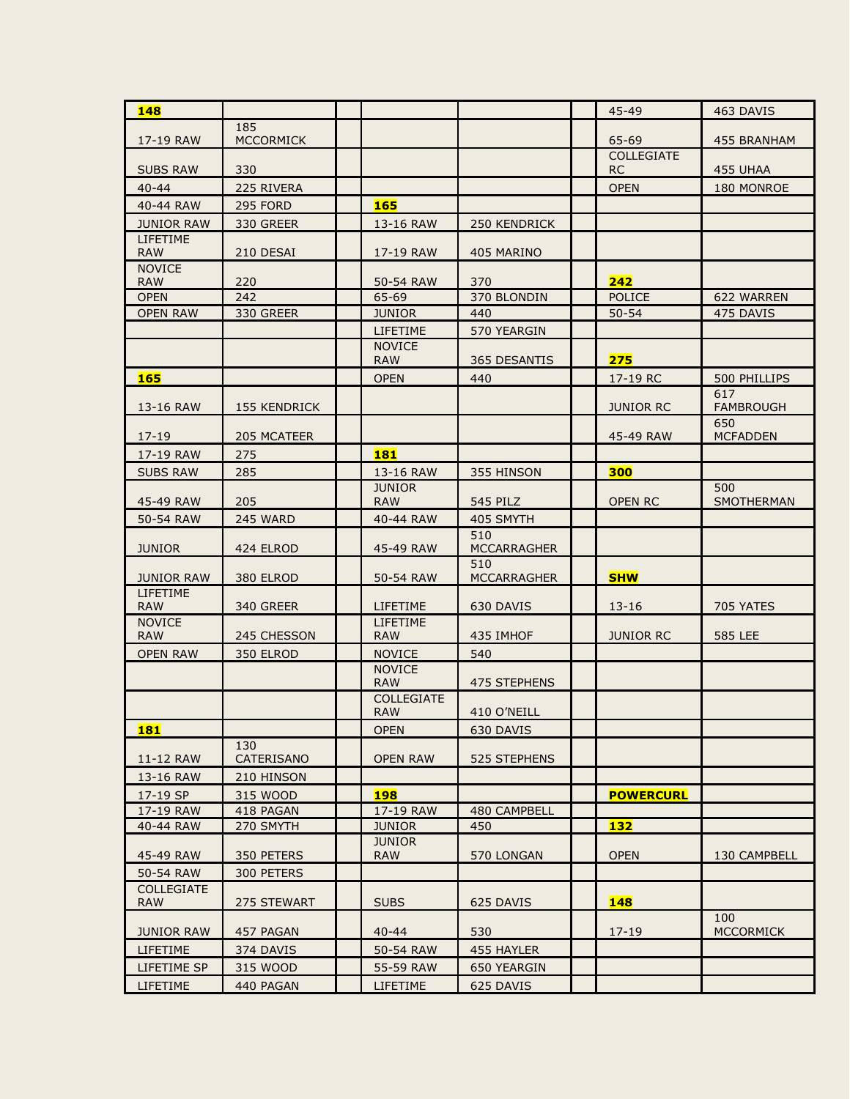| 148                             |                   |                                 |                           | $45 - 49$                      | 463 DAVIS                |
|---------------------------------|-------------------|---------------------------------|---------------------------|--------------------------------|--------------------------|
|                                 | 185               |                                 |                           |                                |                          |
| 17-19 RAW                       | <b>MCCORMICK</b>  |                                 |                           | 65-69                          | 455 BRANHAM              |
| <b>SUBS RAW</b>                 | 330               |                                 |                           | <b>COLLEGIATE</b><br><b>RC</b> | 455 UHAA                 |
| $40 - 44$                       | 225 RIVERA        |                                 |                           | <b>OPEN</b>                    | 180 MONROE               |
| 40-44 RAW                       | <b>295 FORD</b>   | <b>165</b>                      |                           |                                |                          |
| <b>JUNIOR RAW</b>               | 330 GREER         | 13-16 RAW                       | 250 KENDRICK              |                                |                          |
| <b>LIFETIME</b><br><b>RAW</b>   | 210 DESAI         | 17-19 RAW                       | 405 MARINO                |                                |                          |
| <b>NOVICE</b><br><b>RAW</b>     | 220               | 50-54 RAW                       | 370                       | 242                            |                          |
| <b>OPEN</b>                     | 242               | 65-69                           | 370 BLONDIN               | <b>POLICE</b>                  | 622 WARREN               |
| <b>OPEN RAW</b>                 | 330 GREER         | <b>JUNIOR</b>                   | 440                       | $50 - 54$                      | 475 DAVIS                |
|                                 |                   | LIFETIME                        | 570 YEARGIN               |                                |                          |
|                                 |                   | <b>NOVICE</b><br><b>RAW</b>     | 365 DESANTIS              | 275                            |                          |
| <b>165</b>                      |                   | <b>OPEN</b>                     | 440                       | 17-19 RC                       | 500 PHILLIPS             |
|                                 |                   |                                 |                           |                                | 617                      |
| 13-16 RAW                       | 155 KENDRICK      |                                 |                           | <b>JUNIOR RC</b>               | <b>FAMBROUGH</b>         |
| $17 - 19$                       | 205 MCATEER       |                                 |                           | 45-49 RAW                      | 650<br><b>MCFADDEN</b>   |
| 17-19 RAW                       | 275               | <b>181</b>                      |                           |                                |                          |
| <b>SUBS RAW</b>                 | 285               | 13-16 RAW                       | 355 HINSON                | 300                            |                          |
| 45-49 RAW                       | 205               | <b>JUNIOR</b><br><b>RAW</b>     | <b>545 PILZ</b>           | OPEN RC                        | 500<br><b>SMOTHERMAN</b> |
| 50-54 RAW                       | 245 WARD          | 40-44 RAW                       | 405 SMYTH                 |                                |                          |
| <b>JUNIOR</b>                   | 424 ELROD         | 45-49 RAW                       | 510<br>MCCARRAGHER        |                                |                          |
| <b>JUNIOR RAW</b>               | 380 ELROD         | 50-54 RAW                       | 510<br><b>MCCARRAGHER</b> | <b>SHW</b>                     |                          |
| LIFETIME<br><b>RAW</b>          | 340 GREER         | LIFETIME                        | 630 DAVIS                 | $13 - 16$                      | <b>705 YATES</b>         |
| <b>NOVICE</b>                   |                   | <b>LIFETIME</b>                 |                           |                                |                          |
| <b>RAW</b>                      | 245 CHESSON       | <b>RAW</b>                      | 435 IMHOF                 | <b>JUNIOR RC</b>               | <b>585 LEE</b>           |
| <b>OPEN RAW</b>                 | 350 ELROD         | <b>NOVICE</b>                   | 540                       |                                |                          |
|                                 |                   | <b>NOVICE</b><br><b>RAW</b>     | 475 STEPHENS              |                                |                          |
|                                 |                   | <b>COLLEGIATE</b><br><b>RAW</b> | 410 O'NEILL               |                                |                          |
| <b>181</b>                      |                   | <b>OPEN</b>                     | 630 DAVIS                 |                                |                          |
| 11-12 RAW                       | 130<br>CATERISANO | <b>OPEN RAW</b>                 | 525 STEPHENS              |                                |                          |
| 13-16 RAW                       | 210 HINSON        |                                 |                           |                                |                          |
| 17-19 SP                        | 315 WOOD          | <b>198</b>                      |                           | <b>POWERCURL</b>               |                          |
| 17-19 RAW                       | 418 PAGAN         | 17-19 RAW                       | 480 CAMPBELL              |                                |                          |
| 40-44 RAW                       | 270 SMYTH         | <b>JUNIOR</b>                   | 450                       | 132                            |                          |
| 45-49 RAW                       | 350 PETERS        | <b>JUNIOR</b><br><b>RAW</b>     | 570 LONGAN                | <b>OPEN</b>                    | 130 CAMPBELL             |
| 50-54 RAW                       | 300 PETERS        |                                 |                           |                                |                          |
| <b>COLLEGIATE</b><br><b>RAW</b> | 275 STEWART       | <b>SUBS</b>                     | 625 DAVIS                 | <b>148</b>                     |                          |
|                                 |                   | $40 - 44$                       | 530                       |                                | 100                      |
| <b>JUNIOR RAW</b>               | 457 PAGAN         |                                 |                           | $17 - 19$                      | <b>MCCORMICK</b>         |
| LIFETIME                        | 374 DAVIS         | 50-54 RAW                       | 455 HAYLER                |                                |                          |
| <b>LIFETIME SP</b>              | 315 WOOD          | 55-59 RAW                       | 650 YEARGIN               |                                |                          |
| <b>LIFETIME</b>                 | 440 PAGAN         | LIFETIME                        | 625 DAVIS                 |                                |                          |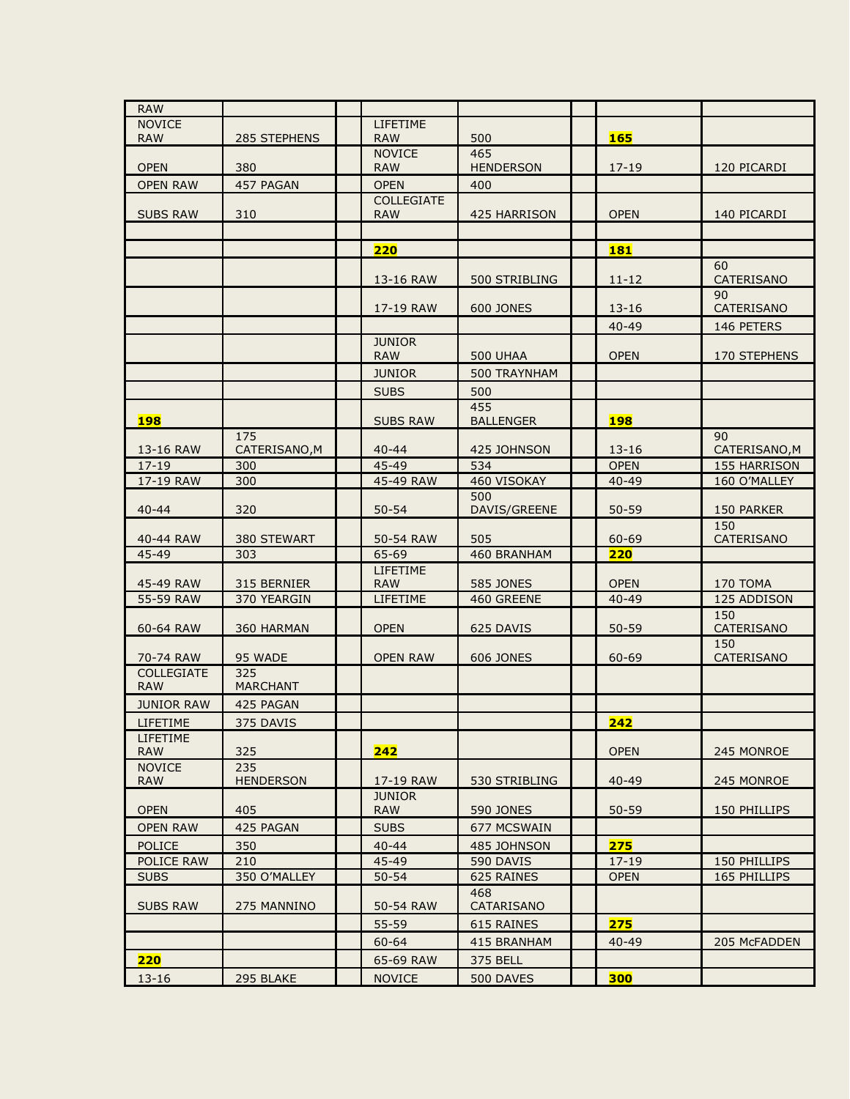| <b>RAW</b>                  |                            |                             |                                |                          |                         |
|-----------------------------|----------------------------|-----------------------------|--------------------------------|--------------------------|-------------------------|
| <b>NOVICE</b>               |                            | <b>LIFETIME</b>             |                                |                          |                         |
| <b>RAW</b>                  | 285 STEPHENS               | <b>RAW</b>                  | 500                            | <b>165</b>               |                         |
| <b>OPEN</b>                 | 380                        | <b>NOVICE</b><br><b>RAW</b> | 465<br><b>HENDERSON</b>        | $17 - 19$                | 120 PICARDI             |
| <b>OPEN RAW</b>             | 457 PAGAN                  | <b>OPEN</b>                 | 400                            |                          |                         |
|                             |                            | <b>COLLEGIATE</b>           |                                |                          |                         |
| <b>SUBS RAW</b>             | 310                        | <b>RAW</b>                  | 425 HARRISON                   | <b>OPEN</b>              | 140 PICARDI             |
|                             |                            |                             |                                |                          |                         |
|                             |                            | 220                         |                                | <b>181</b>               | 60                      |
|                             |                            | 13-16 RAW                   | 500 STRIBLING                  | $11 - 12$                | CATERISANO              |
|                             |                            | 17-19 RAW                   | <b>600 JONES</b>               | $13 - 16$                | 90<br>CATERISANO        |
|                             |                            |                             |                                | 40-49                    | 146 PETERS              |
|                             |                            | <b>JUNIOR</b>               |                                |                          |                         |
|                             |                            | <b>RAW</b>                  | <b>500 UHAA</b>                | <b>OPEN</b>              | 170 STEPHENS            |
|                             |                            | <b>JUNIOR</b>               | 500 TRAYNHAM                   |                          |                         |
|                             |                            | <b>SUBS</b>                 | 500                            |                          |                         |
|                             |                            |                             | 455                            |                          |                         |
| <b>198</b>                  | 175                        | <b>SUBS RAW</b>             | <b>BALLENGER</b>               | <b>198</b>               | 90                      |
| 13-16 RAW                   | CATERISANO, M              | $40 - 44$                   | 425 JOHNSON                    | $13 - 16$                | CATERISANO, M           |
| $17 - 19$                   | 300                        | 45-49                       | 534                            | <b>OPEN</b>              | 155 HARRISON            |
| 17-19 RAW                   | 300                        | 45-49 RAW                   | 460 VISOKAY                    | $40 - 49$                | 160 O'MALLEY            |
| $40 - 44$                   | 320                        | $50 - 54$                   | 500<br>DAVIS/GREENE            | $50 - 59$                | 150 PARKER              |
|                             |                            |                             |                                |                          | 150                     |
| 40-44 RAW                   | 380 STEWART                | 50-54 RAW                   | 505                            | 60-69                    | CATERISANO              |
| 45-49                       | 303                        | 65-69                       | 460 BRANHAM                    | 220                      |                         |
|                             |                            | <b>LIFETIME</b>             |                                |                          |                         |
| 45-49 RAW<br>55-59 RAW      | 315 BERNIER<br>370 YEARGIN | <b>RAW</b><br>LIFETIME      | <b>585 JONES</b><br>460 GREENE | <b>OPEN</b><br>$40 - 49$ | 170 TOMA<br>125 ADDISON |
|                             |                            |                             |                                |                          | 150                     |
| 60-64 RAW                   | 360 HARMAN                 | <b>OPEN</b>                 | 625 DAVIS                      | $50 - 59$                | CATERISANO              |
| 70-74 RAW                   | 95 WADE                    | <b>OPEN RAW</b>             | <b>606 JONES</b>               | 60-69                    | 150<br>CATERISANO       |
| <b>COLLEGIATE</b>           | 325                        |                             |                                |                          |                         |
| <b>RAW</b>                  | <b>MARCHANT</b>            |                             |                                |                          |                         |
| <b>JUNIOR RAW</b>           | 425 PAGAN                  |                             |                                |                          |                         |
| LIFETIME<br><b>LIFETIME</b> | 375 DAVIS                  |                             |                                | 242                      |                         |
| <b>RAW</b>                  | 325                        | 242                         |                                | <b>OPEN</b>              | 245 MONROE              |
| <b>NOVICE</b>               | 235                        |                             |                                |                          |                         |
| <b>RAW</b>                  | <b>HENDERSON</b>           | 17-19 RAW<br><b>JUNIOR</b>  | 530 STRIBLING                  | 40-49                    | 245 MONROE              |
| <b>OPEN</b>                 | 405                        | <b>RAW</b>                  | <b>590 JONES</b>               | $50 - 59$                | 150 PHILLIPS            |
| <b>OPEN RAW</b>             | 425 PAGAN                  | <b>SUBS</b>                 | 677 MCSWAIN                    |                          |                         |
| <b>POLICE</b>               | 350                        | $40 - 44$                   | 485 JOHNSON                    | 275                      |                         |
| POLICE RAW                  | 210                        | 45-49                       | 590 DAVIS                      | $17 - 19$                | 150 PHILLIPS            |
| <b>SUBS</b>                 | 350 O'MALLEY               | $50 - 54$                   | 625 RAINES                     | <b>OPEN</b>              | 165 PHILLIPS            |
| <b>SUBS RAW</b>             | 275 MANNINO                | 50-54 RAW                   | 468<br>CATARISANO              |                          |                         |
|                             |                            | 55-59                       | 615 RAINES                     | 275                      |                         |
|                             |                            | $60 - 64$                   | 415 BRANHAM                    | $40 - 49$                | 205 McFADDEN            |
| 220                         |                            | 65-69 RAW                   | 375 BELL                       |                          |                         |
| $13 - 16$                   | 295 BLAKE                  | <b>NOVICE</b>               | 500 DAVES                      | 300                      |                         |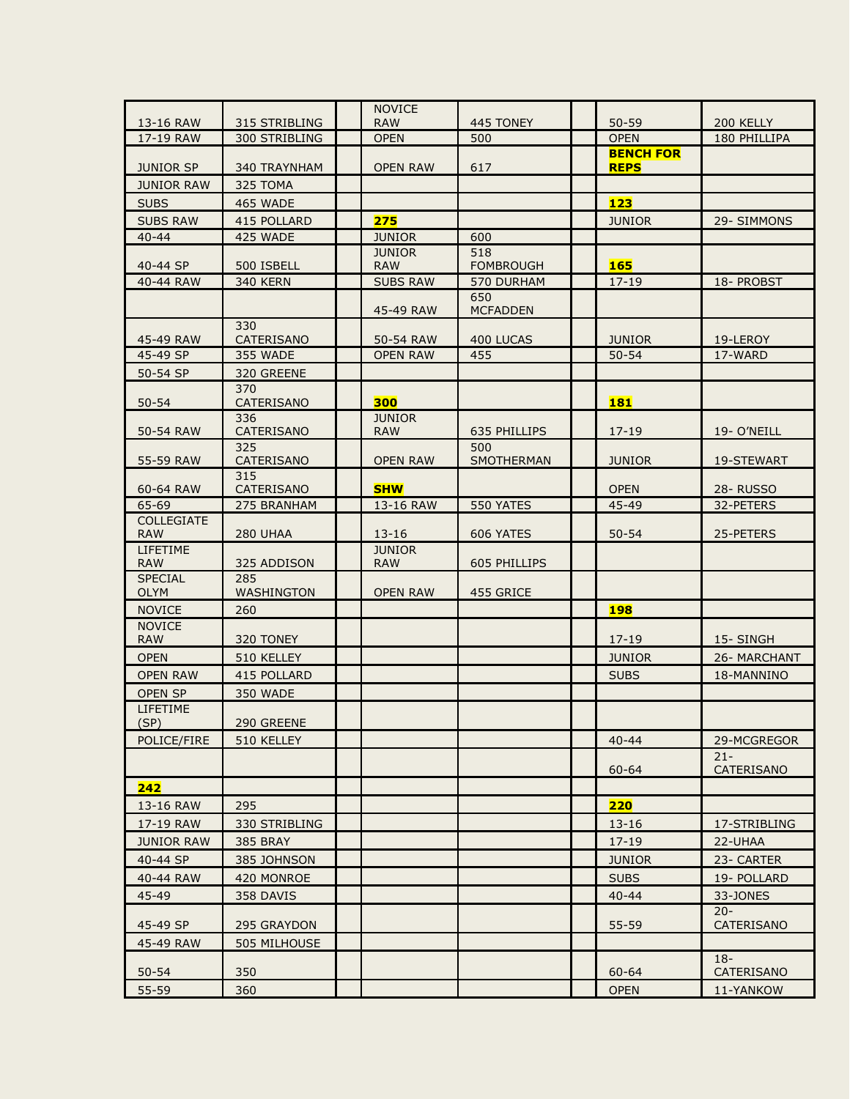|                               |                                | <b>NOVICE</b>               |                         |                          |                           |
|-------------------------------|--------------------------------|-----------------------------|-------------------------|--------------------------|---------------------------|
| 13-16 RAW<br>17-19 RAW        | 315 STRIBLING<br>300 STRIBLING | <b>RAW</b><br><b>OPEN</b>   | 445 TONEY<br>500        | $50 - 59$<br><b>OPEN</b> | 200 KELLY<br>180 PHILLIPA |
|                               |                                |                             |                         | <b>BENCH FOR</b>         |                           |
| <b>JUNIOR SP</b>              | 340 TRAYNHAM                   | <b>OPEN RAW</b>             | 617                     | <b>REPS</b>              |                           |
| <b>JUNIOR RAW</b>             | 325 TOMA                       |                             |                         |                          |                           |
| <b>SUBS</b>                   | <b>465 WADE</b>                |                             |                         | <b>123</b>               |                           |
| <b>SUBS RAW</b>               | 415 POLLARD                    | 275                         |                         | <b>JUNIOR</b>            | 29- SIMMONS               |
| $40 - 44$                     | 425 WADE                       | <b>JUNIOR</b>               | 600                     |                          |                           |
| 40-44 SP                      | 500 ISBELL                     | <b>JUNIOR</b><br><b>RAW</b> | 518<br><b>FOMBROUGH</b> | <b>165</b>               |                           |
| 40-44 RAW                     | <b>340 KERN</b>                | <b>SUBS RAW</b>             | 570 DURHAM              | $17 - 19$                | 18- PROBST                |
|                               |                                | 45-49 RAW                   | 650<br><b>MCFADDEN</b>  |                          |                           |
| 45-49 RAW                     | 330<br><b>CATERISANO</b>       | 50-54 RAW                   | 400 LUCAS               | <b>JUNIOR</b>            | 19-LEROY                  |
| 45-49 SP                      | 355 WADE                       | <b>OPEN RAW</b>             | 455                     | $50 - 54$                | 17-WARD                   |
| 50-54 SP                      | 320 GREENE                     |                             |                         |                          |                           |
|                               | 370                            |                             |                         |                          |                           |
| $50 - 54$                     | CATERISANO<br>336              | 300<br><b>JUNIOR</b>        |                         | <b>181</b>               |                           |
| 50-54 RAW                     | CATERISANO                     | <b>RAW</b>                  | 635 PHILLIPS            | $17 - 19$                | 19- O'NEILL               |
| 55-59 RAW                     | 325<br><b>CATERISANO</b>       | <b>OPEN RAW</b>             | 500<br>SMOTHERMAN       | <b>JUNIOR</b>            | 19-STEWART                |
| 60-64 RAW                     | 315<br><b>CATERISANO</b>       | <b>SHW</b>                  |                         | <b>OPEN</b>              | <b>28- RUSSO</b>          |
| 65-69                         | 275 BRANHAM                    | 13-16 RAW                   | 550 YATES               | 45-49                    | 32-PETERS                 |
| <b>COLLEGIATE</b>             |                                | $13 - 16$                   |                         | $50 - 54$                |                           |
| <b>RAW</b><br><b>LIFETIME</b> | 280 UHAA                       | <b>JUNIOR</b>               | 606 YATES               |                          | 25-PETERS                 |
| <b>RAW</b>                    | 325 ADDISON                    | <b>RAW</b>                  | 605 PHILLIPS            |                          |                           |
| <b>SPECIAL</b><br><b>OLYM</b> | 285<br><b>WASHINGTON</b>       | <b>OPEN RAW</b>             | 455 GRICE               |                          |                           |
| <b>NOVICE</b>                 | 260                            |                             |                         | <b>198</b>               |                           |
| <b>NOVICE</b>                 |                                |                             |                         |                          |                           |
| <b>RAW</b>                    | 320 TONEY                      |                             |                         | $17 - 19$                | 15- SINGH                 |
| <b>OPEN</b>                   | 510 KELLEY                     |                             |                         | <b>JUNIOR</b>            | 26- MARCHANT              |
| <b>OPEN RAW</b>               | 415 POLLARD                    |                             |                         | <b>SUBS</b>              | 18-MANNINO                |
| <b>OPEN SP</b>                | 350 WADE                       |                             |                         |                          |                           |
| <b>LIFETIME</b><br>(SP)       | 290 GREENE                     |                             |                         |                          |                           |
| POLICE/FIRE                   | 510 KELLEY                     |                             |                         | $40 - 44$                | 29-MCGREGOR               |
|                               |                                |                             |                         | $60 - 64$                | $21 -$<br>CATERISANO      |
| 242                           |                                |                             |                         |                          |                           |
| 13-16 RAW                     | 295                            |                             |                         | 220                      |                           |
| 17-19 RAW                     | 330 STRIBLING                  |                             |                         | $13 - 16$                | 17-STRIBLING              |
| <b>JUNIOR RAW</b>             | <b>385 BRAY</b>                |                             |                         | $17 - 19$                | 22-UHAA                   |
| 40-44 SP                      | 385 JOHNSON                    |                             |                         | <b>JUNIOR</b>            | 23- CARTER                |
| 40-44 RAW                     | 420 MONROE                     |                             |                         | <b>SUBS</b>              | 19- POLLARD               |
| 45-49                         | 358 DAVIS                      |                             |                         | $40 - 44$                | 33-JONES                  |
| 45-49 SP                      | 295 GRAYDON                    |                             |                         | 55-59                    | $20 -$<br>CATERISANO      |
| 45-49 RAW                     | 505 MILHOUSE                   |                             |                         |                          |                           |
|                               |                                |                             |                         |                          | $18-$                     |
| $50 - 54$                     | 350                            |                             |                         | 60-64                    | CATERISANO                |
| 55-59                         | 360                            |                             |                         | <b>OPEN</b>              | 11-YANKOW                 |